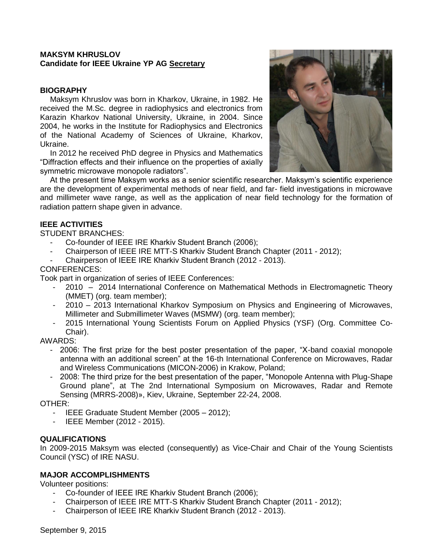## **MAKSYM KHRUSLOV Candidate for IEEE Ukraine YP AG Secretary**

## **BIOGRAPHY**

Maksym Khruslov was born in Kharkov, Ukraine, in 1982. He received the M.Sc. degree in radiophysics and electronics from Karazin Kharkov National University, Ukraine, in 2004. Since 2004, he works in the Institute for Radiophysics and Electronics of the National Academy of Sciences of Ukraine, Kharkov, Ukraine.

In 2012 he received PhD degree in Physics and Mathematics "Diffraction effects and their influence on the properties of axially symmetric microwave monopole radiators".



At the present time Maksym works as a senior scientific researcher. Maksym's scientific experience are the development of experimental methods of near field, and far- field investigations in microwave and millimeter wave range, as well as the application of near field technology for the formation of radiation pattern shape given in advance.

### **IEEE ACTIVITIES**

STUDENT BRANCHES:

- Co-founder of IEEE IRE Кharkiv Student Branch (2006);
- Chairperson of IEEE IRE MTT-S Кharkiv Student Branch Chapter (2011 2012);
- Chairperson of IEEE IRE Кharkiv Student Branch (2012 2013).

### CONFERENCES:

Took part in organization of series of IEEE Conferences:

- 2010 2014 International Conference on Mathematical Methods in Electromagnetic Theory (MMET) (org. team member);
- 2010 2013 International Kharkov Symposium on Physics and Engineering of Microwaves, Millimeter and Submillimeter Waves (MSMW) (org. team member);
- 2015 International Young Scientists Forum on Applied Physics (YSF) (Org. Committee Co-Chair).

AWARDS:

- 2006: The first prize for the best poster presentation of the paper, "X-band coaxial monopole antenna with an additional screen" at the 16-th International Conference on Microwaves, Radar and Wireless Communications (MICON-2006) in Krakow, Poland;
- 2008: The third prize for the best presentation of the paper, "Monopole Antenna with Plug-Shape Ground plane", at The 2nd International Symposium on Microwaves, Radar and Remote Sensing (MRRS-2008)», Kiev, Ukraine, September 22-24, 2008.

OTHER:

- IEEE Graduate Student Member (2005 2012);
- IEEE Member (2012 2015).

#### **QUALIFICATIONS**

In 2009-2015 Maksym was elected (consequently) as Vice-Chair and Chair of the Young Scientists Council (YSC) of IRE NASU.

#### **MAJOR ACCOMPLISHMENTS**

Volunteer positions:

- Co-founder of IEEE IRE Кharkiv Student Branch (2006);
- Chairperson of IEEE IRE MTT-S Кharkiv Student Branch Chapter (2011 2012);
- Chairperson of IEEE IRE Кharkiv Student Branch (2012 2013).